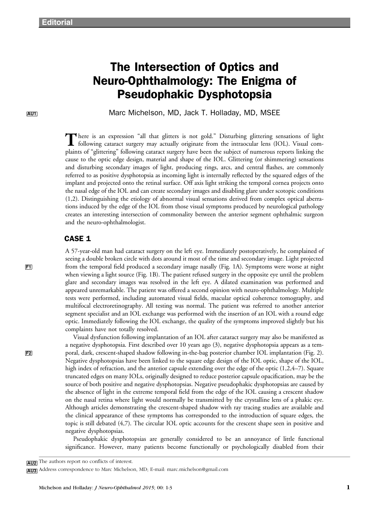## The Intersection of Optics and Neuro-Ophthalmology: The Enigma of Pseudophakic Dysphotopsia

AU1 Marc Michelson, MD, Jack T. Holladay, MD, MSEE

There is an expression "all that glitters is not gold." Disturbing glittering sensations of light following cataract surgery may actually originate from the intraocular lens (IOL). Visual complaints of "glittering" following cataract surgery have been the subject of numerous reports linking the cause to the optic edge design, material and shape of the IOL. Glittering (or shimmering) sensations and disturbing secondary images of light, producing rings, arcs, and central flashes, are commonly referred to as positive dysphotopsia as incoming light is internally reflected by the squared edges of the implant and projected onto the retinal surface. Off axis light striking the temporal cornea projects onto the nasal edge of the IOL and can create secondary images and disabling glare under scotopic conditions (1,2). Distinguishing the etiology of abnormal visual sensations derived from complex optical aberrations induced by the edge of the IOL from those visual symptoms produced by neurological pathology creates an interesting intersection of commonality between the anterior segment ophthalmic surgeon and the neuro-ophthalmologist.

## CASE 1

A 57-year-old man had cataract surgery on the left eye. Immediately postoperatively, he complained of seeing a double broken circle with dots around it most of the time and secondary image. Light projected F1 from the temporal field produced a secondary image nasally (Fig. 1A). Symptoms were worse at night when viewing a light source (Fig. 1B). The patient refused surgery in the opposite eye until the problem glare and secondary images was resolved in the left eye. A dilated examination was performed and appeared unremarkable. The patient was offered a second opinion with neuro-ophthalmology. Multiple tests were performed, including automated visual fields, macular optical coherence tomography, and multifocal electroretinography. All testing was normal. The patient was referred to another anterior segment specialist and an IOL exchange was performed with the insertion of an IOL with a round edge optic. Immediately following the IOL exchange, the quality of the symptoms improved slightly but his complaints have not totally resolved.

Visual dysfunction following implantation of an IOL after cataract surgery may also be manifested as a negative dysphotopsia. First described over 10 years ago (3), negative dysphotopsia appears as a tem-F2 poral, dark, crescent-shaped shadow following in-the-bag posterior chamber IOL implantation (Fig. 2). Negative dysphotopsias have been linked to the square edge design of the IOL optic, shape of the IOL, high index of refraction, and the anterior capsule extending over the edge of the optic (1,2,4–7). Square truncated edges on many IOLs, originally designed to reduce posterior capsule opacification, may be the source of both positive and negative dysphotopsias. Negative pseudophakic dysphotopsias are caused by the absence of light in the extreme temporal field from the edge of the IOL causing a crescent shadow on the nasal retina where light would normally be transmitted by the crystalline lens of a phakic eye. Although articles demonstrating the crescent-shaped shadow with ray tracing studies are available and the clinical appearance of these symptoms has corresponded to the introduction of square edges, the topic is still debated (4,7). The circular IOL optic accounts for the crescent shape seen in positive and negative dysphotopsias.

> Pseudophakic dysphotopsias are generally considered to be an annoyance of little functional significance. However, many patients become functionally or psychologically disabled from their

AU2 The authors report no conflicts of interest.

AU3 Address correspondence to Marc Michelson, MD; E-mail: [marc.michelson@gmail.com](mailto:marc.michelson@gmail.com)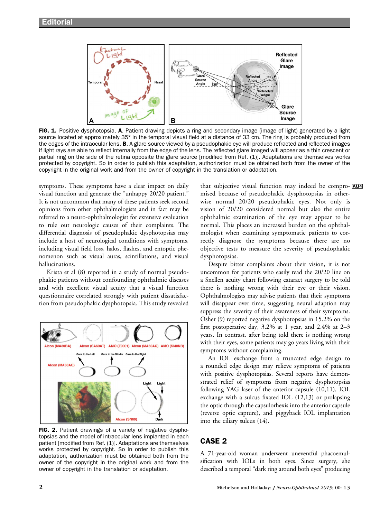

FIG. 1. Positive dysphotopsia. A. Patient drawing depicts a ring and secondary image (image of light) generated by a light source located at approximately 35° in the temporal visual field at a distance of 33 cm. The ring is probably produced from the edges of the intraocular lens. B. A glare source viewed by a pseudophakic eye will produce refracted and reflected images if light rays are able to reflect internally from the edge of the lens. The reflected glare imaged will appear as a thin crescent or partial ring on the side of the retina opposite the glare source [modified from Ref. (1)]. Adaptations are themselves works protected by copyright. So in order to publish this adaptation, authorization must be obtained both from the owner of the copyright in the original work and from the owner of copyright in the translation or adaptation.

symptoms. These symptoms have a clear impact on daily visual function and generate the "unhappy 20/20 patient." It is not uncommon that many of these patients seek second opinions from other ophthalmologists and in fact may be referred to a neuro-ophthalmologist for extensive evaluation to rule out neurologic causes of their complaints. The differential diagnosis of pseudophakic dysphotopsias may include a host of neurological conditions with symptoms, including visual field loss, halos, flashes, and entoptic phenomenon such as visual auras, scintillations, and visual hallucinations.

Krista et al (8) reported in a study of normal pseudophakic patients without confounding ophthalmic diseases and with excellent visual acuity that a visual function questionnaire correlated strongly with patient dissatisfaction from pseudophakic dysphotopsia. This study revealed



FIG. 2. Patient drawings of a variety of negative dysphotopsias and the model of intraocular lens implanted in each patient [modified from Ref. (1)]. Adaptations are themselves works protected by copyright. So in order to publish this adaptation, authorization must be obtained both from the owner of the copyright in the original work and from the owner of copyright in the translation or adaptation.

that subjective visual function may indeed be compro- AU4 mised because of pseudophakic dysphotopsias in otherwise normal 20/20 pseudophakic eyes. Not only is vision of 20/20 considered normal but also the entire ophthalmic examination of the eye may appear to be normal. This places an increased burden on the ophthalmologist when examining symptomatic patients to correctly diagnose the symptoms because there are no objective tests to measure the severity of pseudophakic dysphotopsias.

Despite bitter complaints about their vision, it is not uncommon for patients who easily read the 20/20 line on a Snellen acuity chart following cataract surgery to be told there is nothing wrong with their eye or their vision. Ophthalmologists may advise patients that their symptoms will disappear over time, suggesting neural adaption may suppress the severity of their awareness of their symptoms. Osher (9) reported negative dysphotopsias in 15.2% on the first postoperative day, 3.2% at 1 year, and 2.4% at 2–3 years. In contrast, after being told there is nothing wrong with their eyes, some patients may go years living with their symptoms without complaining.

An IOL exchange from a truncated edge design to a rounded edge design may relieve symptoms of patients with positive dysphotopsias. Several reports have demonstrated relief of symptoms from negative dysphotopsias following YAG laser of the anterior capsule (10,11), IOL exchange with a sulcus fixated IOL (12,13) or prolapsing the optic through the capsulorhexis into the anterior capsule (reverse optic capture), and piggyback IOL implantation into the ciliary sulcus (14).

## CASE 2

A 71-year-old woman underwent uneventful phacoemulsification with IOLs in both eyes. Since surgery, she described a temporal "dark ring around both eyes" producing